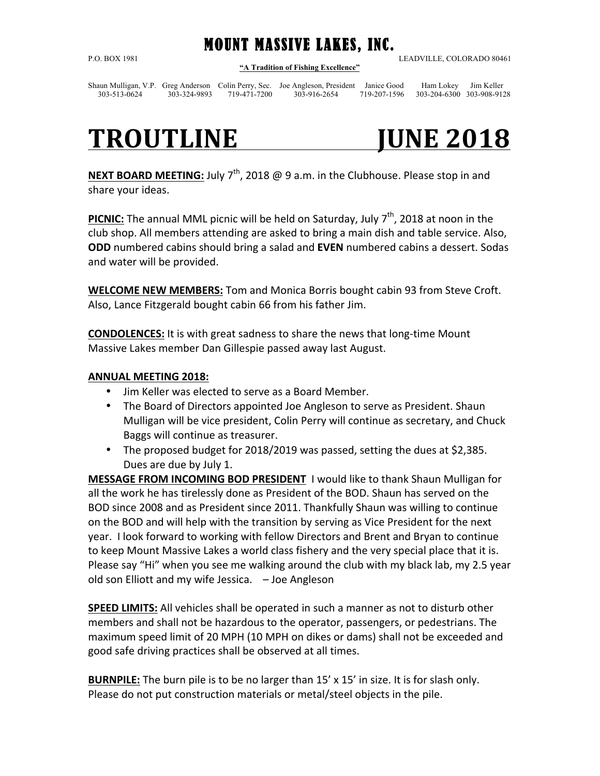## MOUNT MASSIVE LAKES, INC.

**"A Tradition of Fishing Excellence"**

P.O. BOX 1981 LEADVILLE, COLORADO 80461

Shaun Mulligan, V.P. Greg Anderson Colin Perry, Sec. Joe Angleson, President Janice Good Ham Lokey Jim Keller 303-513-0624 303-324-9893 719-471-7200 303-916-2654 719-207-1596 303-204-6300 303-908-9128

# **TROUTLINE** JUNE 2018

**NEXT BOARD MEETING:** July  $7<sup>th</sup>$ , 2018 @ 9 a.m. in the Clubhouse. Please stop in and share your ideas.

**PICNIC:** The annual MML picnic will be held on Saturday, July  $7<sup>th</sup>$ , 2018 at noon in the club shop. All members attending are asked to bring a main dish and table service. Also, **ODD** numbered cabins should bring a salad and **EVEN** numbered cabins a dessert. Sodas and water will be provided.

**WELCOME NEW MEMBERS:** Tom and Monica Borris bought cabin 93 from Steve Croft. Also, Lance Fitzgerald bought cabin 66 from his father Jim.

**CONDOLENCES:** It is with great sadness to share the news that long-time Mount Massive Lakes member Dan Gillespie passed away last August.

### **ANNUAL MEETING 2018:**

- Jim Keller was elected to serve as a Board Member.
- The Board of Directors appointed Joe Angleson to serve as President. Shaun Mulligan will be vice president, Colin Perry will continue as secretary, and Chuck Baggs will continue as treasurer.
- The proposed budget for 2018/2019 was passed, setting the dues at \$2,385. Dues are due by July 1.

**MESSAGE FROM INCOMING BOD PRESIDENT** I would like to thank Shaun Mulligan for all the work he has tirelessly done as President of the BOD. Shaun has served on the BOD since 2008 and as President since 2011. Thankfully Shaun was willing to continue on the BOD and will help with the transition by serving as Vice President for the next year. I look forward to working with fellow Directors and Brent and Bryan to continue to keep Mount Massive Lakes a world class fishery and the very special place that it is. Please say "Hi" when you see me walking around the club with my black lab, my 2.5 year old son Elliott and my wife Jessica.  $-$  Joe Angleson

**SPEED LIMITS:** All vehicles shall be operated in such a manner as not to disturb other members and shall not be hazardous to the operator, passengers, or pedestrians. The maximum speed limit of 20 MPH (10 MPH on dikes or dams) shall not be exceeded and good safe driving practices shall be observed at all times.

**BURNPILE:** The burn pile is to be no larger than 15' x 15' in size. It is for slash only. Please do not put construction materials or metal/steel objects in the pile.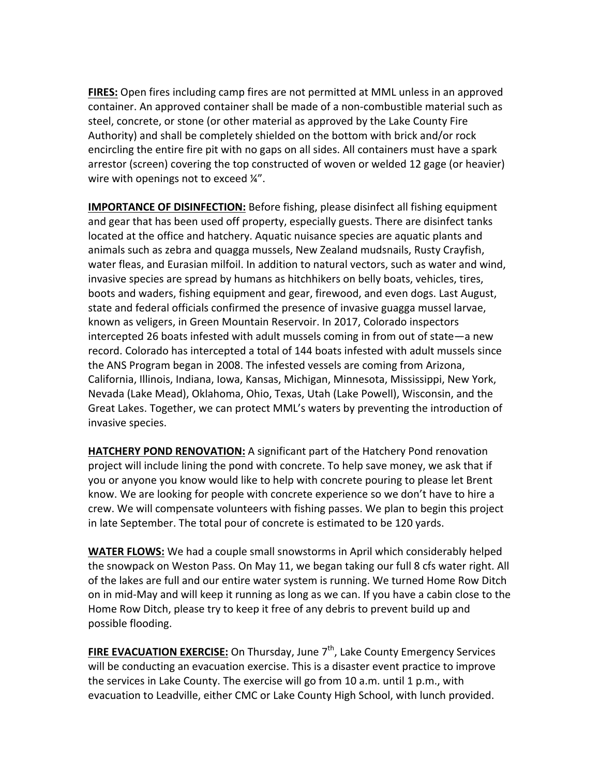**FIRES:** Open fires including camp fires are not permitted at MML unless in an approved container. An approved container shall be made of a non-combustible material such as steel, concrete, or stone (or other material as approved by the Lake County Fire Authority) and shall be completely shielded on the bottom with brick and/or rock encircling the entire fire pit with no gaps on all sides. All containers must have a spark arrestor (screen) covering the top constructed of woven or welded 12 gage (or heavier) wire with openings not to exceed  $\frac{1}{4}$ .

**IMPORTANCE OF DISINFECTION:** Before fishing, please disinfect all fishing equipment and gear that has been used off property, especially guests. There are disinfect tanks located at the office and hatchery. Aquatic nuisance species are aquatic plants and animals such as zebra and quagga mussels, New Zealand mudsnails, Rusty Crayfish, water fleas, and Eurasian milfoil. In addition to natural vectors, such as water and wind, invasive species are spread by humans as hitchhikers on belly boats, vehicles, tires, boots and waders, fishing equipment and gear, firewood, and even dogs. Last August, state and federal officials confirmed the presence of invasive guagga mussel larvae, known as veligers, in Green Mountain Reservoir. In 2017, Colorado inspectors intercepted 26 boats infested with adult mussels coming in from out of state—a new record. Colorado has intercepted a total of 144 boats infested with adult mussels since the ANS Program began in 2008. The infested vessels are coming from Arizona, California, Illinois, Indiana, Iowa, Kansas, Michigan, Minnesota, Mississippi, New York, Nevada (Lake Mead), Oklahoma, Ohio, Texas, Utah (Lake Powell), Wisconsin, and the Great Lakes. Together, we can protect MML's waters by preventing the introduction of invasive species.

**HATCHERY POND RENOVATION:** A significant part of the Hatchery Pond renovation project will include lining the pond with concrete. To help save money, we ask that if you or anyone you know would like to help with concrete pouring to please let Brent know. We are looking for people with concrete experience so we don't have to hire a crew. We will compensate volunteers with fishing passes. We plan to begin this project in late September. The total pour of concrete is estimated to be 120 yards.

**WATER FLOWS:** We had a couple small snowstorms in April which considerably helped the snowpack on Weston Pass. On May 11, we began taking our full 8 cfs water right. All of the lakes are full and our entire water system is running. We turned Home Row Ditch on in mid-May and will keep it running as long as we can. If you have a cabin close to the Home Row Ditch, please try to keep it free of any debris to prevent build up and possible flooding.

**FIRE EVACUATION EXERCISE:** On Thursday, June 7<sup>th</sup>, Lake County Emergency Services will be conducting an evacuation exercise. This is a disaster event practice to improve the services in Lake County. The exercise will go from 10 a.m. until 1 p.m., with evacuation to Leadville, either CMC or Lake County High School, with lunch provided.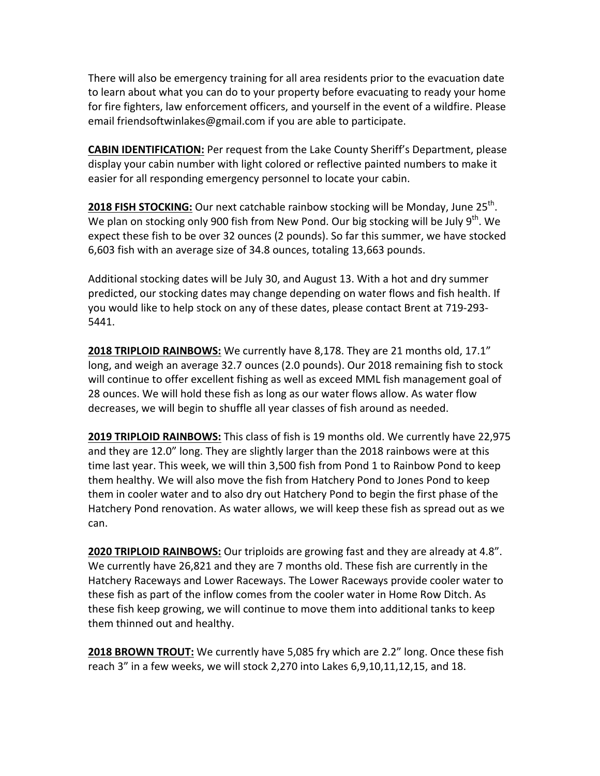There will also be emergency training for all area residents prior to the evacuation date to learn about what you can do to your property before evacuating to ready your home for fire fighters, law enforcement officers, and yourself in the event of a wildfire. Please email friendsoftwinlakes@gmail.com if you are able to participate.

**CABIN IDENTIFICATION:** Per request from the Lake County Sheriff's Department, please display your cabin number with light colored or reflective painted numbers to make it easier for all responding emergency personnel to locate your cabin.

**2018 FISH STOCKING:** Our next catchable rainbow stocking will be Monday, June 25<sup>th</sup>. We plan on stocking only 900 fish from New Pond. Our big stocking will be July  $9^{th}$ . We expect these fish to be over 32 ounces (2 pounds). So far this summer, we have stocked 6,603 fish with an average size of 34.8 ounces, totaling 13,663 pounds.

Additional stocking dates will be July 30, and August 13. With a hot and dry summer predicted, our stocking dates may change depending on water flows and fish health. If you would like to help stock on any of these dates, please contact Brent at 719-293-5441.

**2018 TRIPLOID RAINBOWS:** We currently have 8,178. They are 21 months old, 17.1" long, and weigh an average 32.7 ounces (2.0 pounds). Our 2018 remaining fish to stock will continue to offer excellent fishing as well as exceed MML fish management goal of 28 ounces. We will hold these fish as long as our water flows allow. As water flow decreases, we will begin to shuffle all year classes of fish around as needed.

**2019 TRIPLOID RAINBOWS:** This class of fish is 19 months old. We currently have 22,975 and they are 12.0" long. They are slightly larger than the 2018 rainbows were at this time last year. This week, we will thin 3,500 fish from Pond 1 to Rainbow Pond to keep them healthy. We will also move the fish from Hatchery Pond to Jones Pond to keep them in cooler water and to also dry out Hatchery Pond to begin the first phase of the Hatchery Pond renovation. As water allows, we will keep these fish as spread out as we can.

**2020 TRIPLOID RAINBOWS:** Our triploids are growing fast and they are already at 4.8". We currently have 26,821 and they are 7 months old. These fish are currently in the Hatchery Raceways and Lower Raceways. The Lower Raceways provide cooler water to these fish as part of the inflow comes from the cooler water in Home Row Ditch. As these fish keep growing, we will continue to move them into additional tanks to keep them thinned out and healthy.

**2018 BROWN TROUT:** We currently have 5,085 fry which are 2.2" long. Once these fish reach  $3''$  in a few weeks, we will stock 2,270 into Lakes  $6,9,10,11,12,15$ , and 18.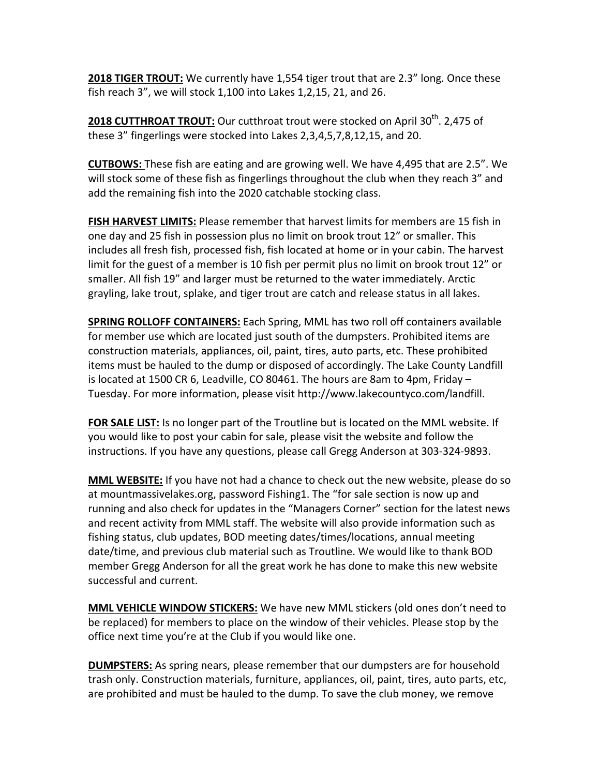**2018 TIGER TROUT:** We currently have 1,554 tiger trout that are 2.3" long. Once these fish reach  $3''$ , we will stock  $1,100$  into Lakes  $1,2,15, 21$ , and  $26$ .

**2018 CUTTHROAT TROUT:** Our cutthroat trout were stocked on April 30<sup>th</sup>. 2,475 of these 3" fingerlings were stocked into Lakes 2,3,4,5,7,8,12,15, and 20.

**CUTBOWS:** These fish are eating and are growing well. We have 4,495 that are 2.5". We will stock some of these fish as fingerlings throughout the club when they reach 3" and add the remaining fish into the 2020 catchable stocking class.

**FISH HARVEST LIMITS:** Please remember that harvest limits for members are 15 fish in one day and 25 fish in possession plus no limit on brook trout 12" or smaller. This includes all fresh fish, processed fish, fish located at home or in your cabin. The harvest limit for the guest of a member is 10 fish per permit plus no limit on brook trout 12" or smaller. All fish 19" and larger must be returned to the water immediately. Arctic grayling, lake trout, splake, and tiger trout are catch and release status in all lakes.

**SPRING ROLLOFF CONTAINERS:** Each Spring, MML has two roll off containers available for member use which are located just south of the dumpsters. Prohibited items are construction materials, appliances, oil, paint, tires, auto parts, etc. These prohibited items must be hauled to the dump or disposed of accordingly. The Lake County Landfill is located at 1500 CR 6, Leadville, CO 80461. The hours are 8am to 4pm, Friday  $-$ Tuesday. For more information, please visit http://www.lakecountyco.com/landfill.

**FOR SALE LIST:** Is no longer part of the Troutline but is located on the MML website. If you would like to post your cabin for sale, please visit the website and follow the instructions. If you have any questions, please call Gregg Anderson at 303-324-9893.

**MML WEBSITE:** If you have not had a chance to check out the new website, please do so at mountmassivelakes.org, password Fishing1. The "for sale section is now up and running and also check for updates in the "Managers Corner" section for the latest news and recent activity from MML staff. The website will also provide information such as fishing status, club updates, BOD meeting dates/times/locations, annual meeting date/time, and previous club material such as Troutline. We would like to thank BOD member Gregg Anderson for all the great work he has done to make this new website successful and current.

**MML VEHICLE WINDOW STICKERS:** We have new MML stickers (old ones don't need to be replaced) for members to place on the window of their vehicles. Please stop by the office next time you're at the Club if you would like one.

**DUMPSTERS:** As spring nears, please remember that our dumpsters are for household trash only. Construction materials, furniture, appliances, oil, paint, tires, auto parts, etc, are prohibited and must be hauled to the dump. To save the club money, we remove